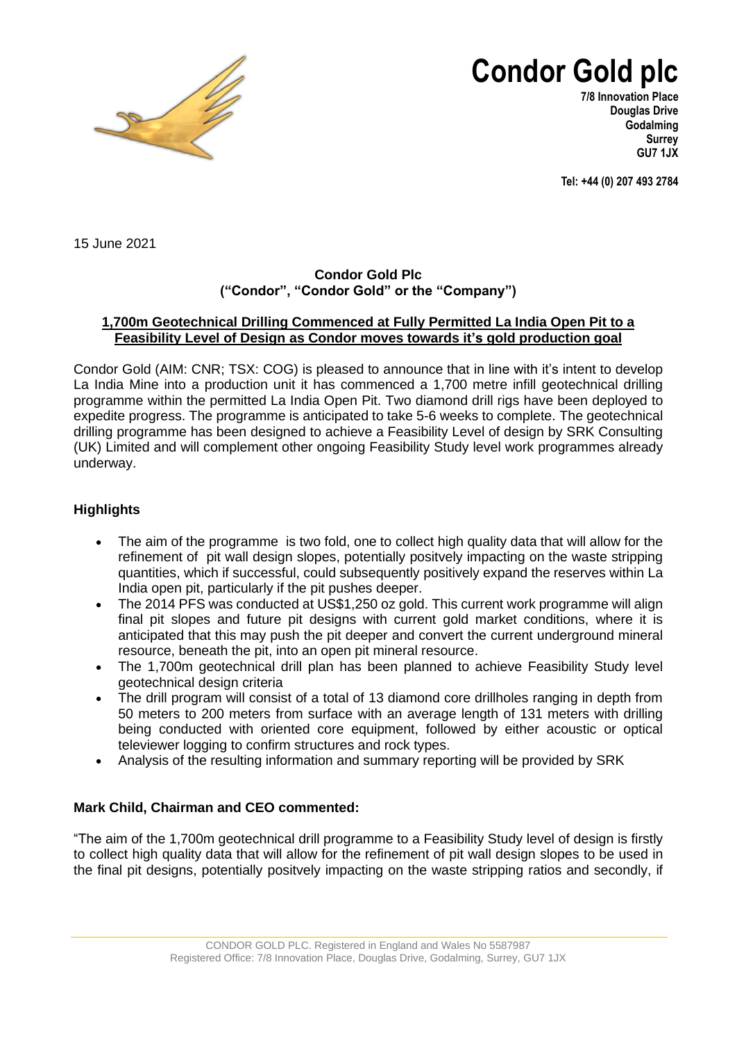

# **Condor Gold plc**

**7/8 Innovation Place Douglas Drive Godalming Surrey GU7 1JX**

**Tel: +44 (0) 207 493 2784**

15 June 2021

## **Condor Gold Plc ("Condor", "Condor Gold" or the "Company")**

## **1,700m Geotechnical Drilling Commenced at Fully Permitted La India Open Pit to a Feasibility Level of Design as Condor moves towards it's gold production goal**

Condor Gold (AIM: CNR; TSX: COG) is pleased to announce that in line with it's intent to develop La India Mine into a production unit it has commenced a 1,700 metre infill geotechnical drilling programme within the permitted La India Open Pit. Two diamond drill rigs have been deployed to expedite progress. The programme is anticipated to take 5-6 weeks to complete. The geotechnical drilling programme has been designed to achieve a Feasibility Level of design by SRK Consulting (UK) Limited and will complement other ongoing Feasibility Study level work programmes already underway.

# **Highlights**

- The aim of the programme is two fold, one to collect high quality data that will allow for the refinement of pit wall design slopes, potentially positvely impacting on the waste stripping quantities, which if successful, could subsequently positively expand the reserves within La India open pit, particularly if the pit pushes deeper.
- The 2014 PFS was conducted at US\$1,250 oz gold. This current work programme will align final pit slopes and future pit designs with current gold market conditions, where it is anticipated that this may push the pit deeper and convert the current underground mineral resource, beneath the pit, into an open pit mineral resource.
- The 1,700m geotechnical drill plan has been planned to achieve Feasibility Study level geotechnical design criteria
- The drill program will consist of a total of 13 diamond core drillholes ranging in depth from 50 meters to 200 meters from surface with an average length of 131 meters with drilling being conducted with oriented core equipment, followed by either acoustic or optical televiewer logging to confirm structures and rock types.
- Analysis of the resulting information and summary reporting will be provided by SRK

# **Mark Child, Chairman and CEO commented:**

"The aim of the 1,700m geotechnical drill programme to a Feasibility Study level of design is firstly to collect high quality data that will allow for the refinement of pit wall design slopes to be used in the final pit designs, potentially positvely impacting on the waste stripping ratios and secondly, if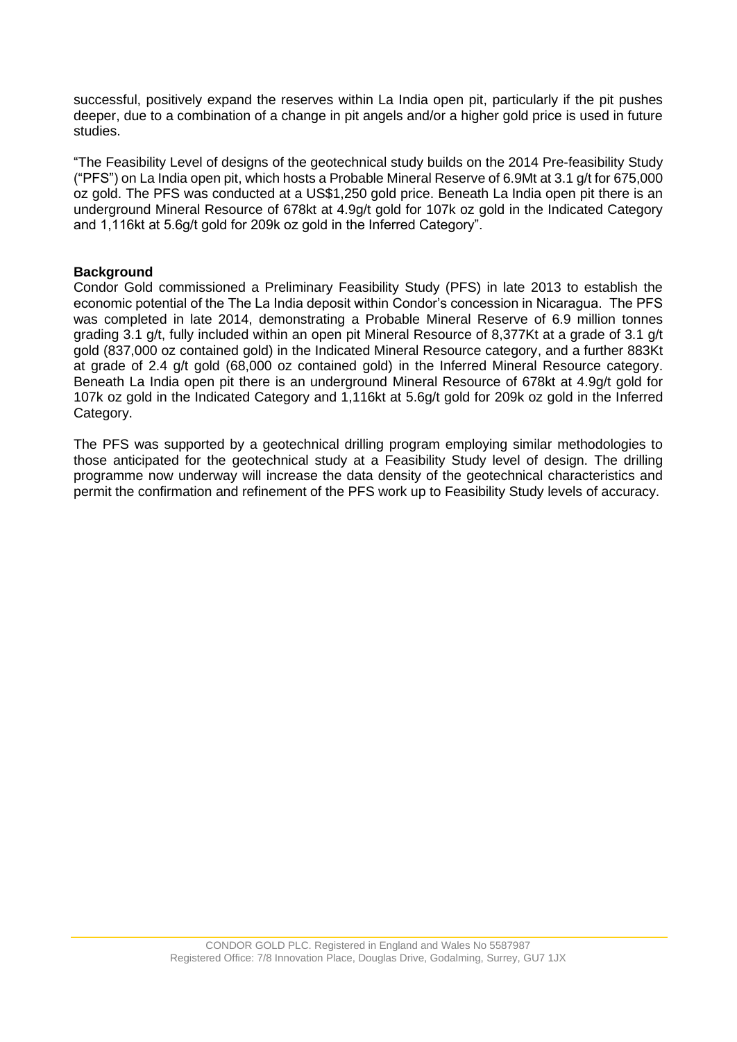successful, positively expand the reserves within La India open pit, particularly if the pit pushes deeper, due to a combination of a change in pit angels and/or a higher gold price is used in future studies.

"The Feasibility Level of designs of the geotechnical study builds on the 2014 Pre-feasibility Study ("PFS") on La India open pit, which hosts a Probable Mineral Reserve of 6.9Mt at 3.1 g/t for 675,000 oz gold. The PFS was conducted at a US\$1,250 gold price. Beneath La India open pit there is an underground Mineral Resource of 678kt at 4.9g/t gold for 107k oz gold in the Indicated Category and 1,116kt at 5.6g/t gold for 209k oz gold in the Inferred Category".

#### **Background**

Condor Gold commissioned a Preliminary Feasibility Study (PFS) in late 2013 to establish the economic potential of the The La India deposit within Condor's concession in Nicaragua. The PFS was completed in late 2014, demonstrating a Probable Mineral Reserve of 6.9 million tonnes grading 3.1 g/t, fully included within an open pit Mineral Resource of 8,377Kt at a grade of 3.1 g/t gold (837,000 oz contained gold) in the Indicated Mineral Resource category, and a further 883Kt at grade of 2.4 g/t gold (68,000 oz contained gold) in the Inferred Mineral Resource category. Beneath La India open pit there is an underground Mineral Resource of 678kt at 4.9g/t gold for 107k oz gold in the Indicated Category and 1,116kt at 5.6g/t gold for 209k oz gold in the Inferred Category.

The PFS was supported by a geotechnical drilling program employing similar methodologies to those anticipated for the geotechnical study at a Feasibility Study level of design. The drilling programme now underway will increase the data density of the geotechnical characteristics and permit the confirmation and refinement of the PFS work up to Feasibility Study levels of accuracy.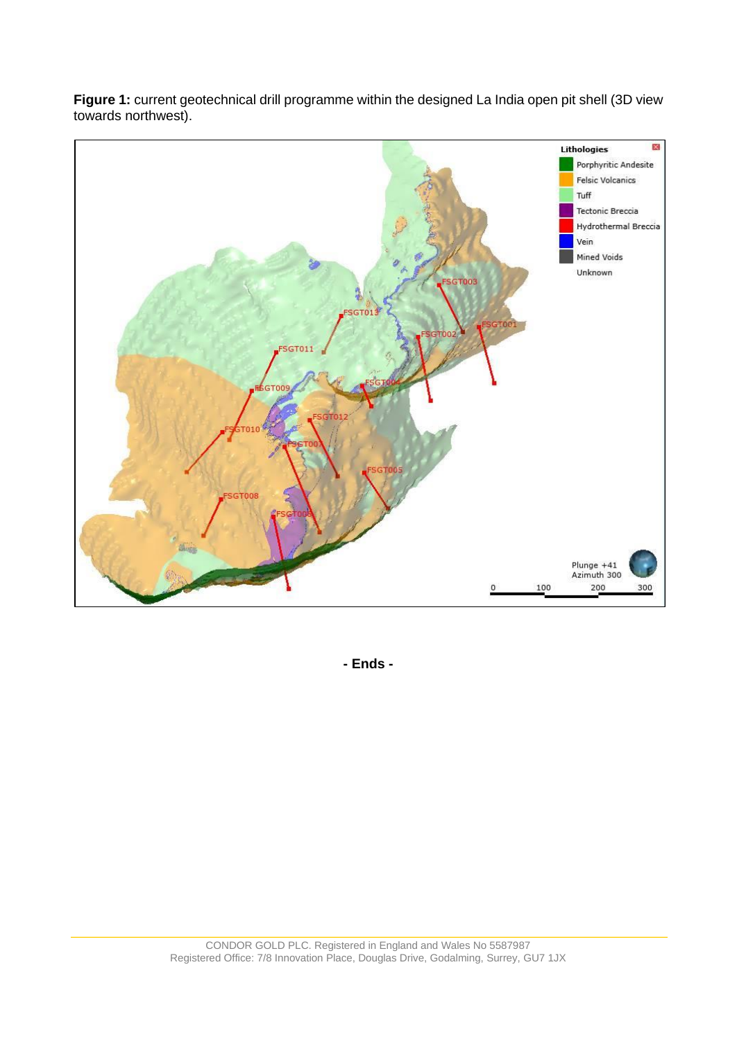

**Figure 1:** current geotechnical drill programme within the designed La India open pit shell (3D view towards northwest).

**- Ends -**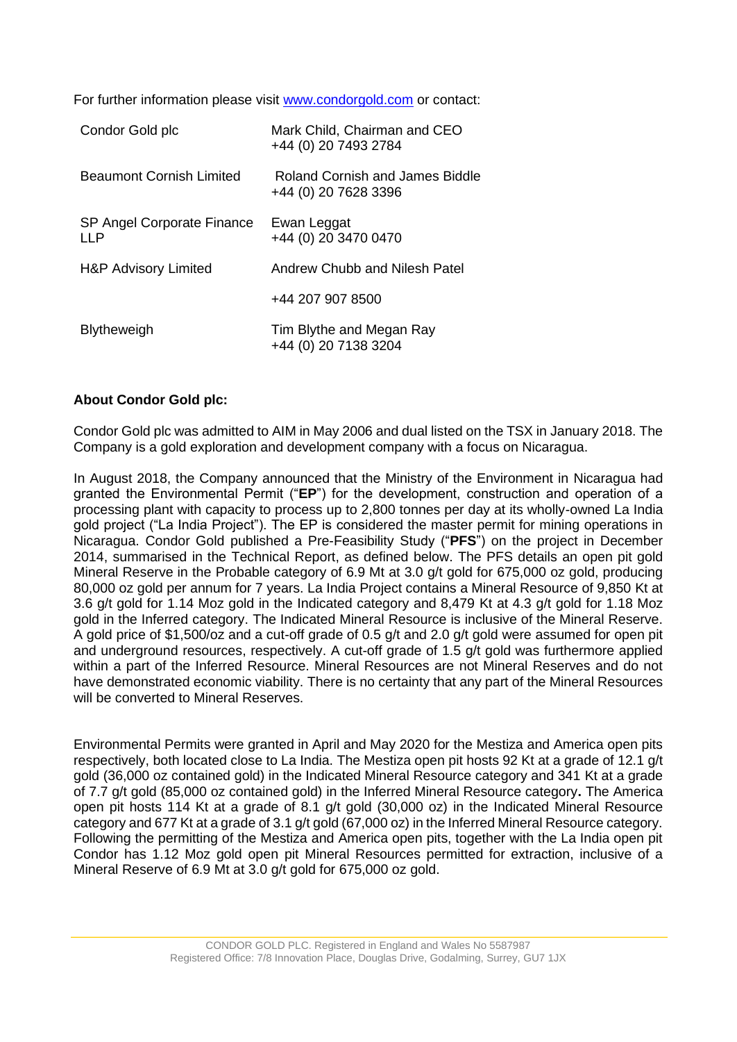For further information please visit www.condorgold.com or contact:

| Condor Gold plc                     | Mark Child, Chairman and CEO<br>+44 (0) 20 7493 2784    |
|-------------------------------------|---------------------------------------------------------|
| <b>Beaumont Cornish Limited</b>     | Roland Cornish and James Biddle<br>+44 (0) 20 7628 3396 |
| SP Angel Corporate Finance<br>I I P | Ewan Leggat<br>+44 (0) 20 3470 0470                     |
| H&P Advisory Limited                | Andrew Chubb and Nilesh Patel                           |
|                                     | +44 207 907 8500                                        |
| <b>Blytheweigh</b>                  | Tim Blythe and Megan Ray<br>+44 (0) 20 7138 3204        |

#### **About Condor Gold plc:**

Condor Gold plc was admitted to AIM in May 2006 and dual listed on the TSX in January 2018. The Company is a gold exploration and development company with a focus on Nicaragua.

In August 2018, the Company announced that the Ministry of the Environment in Nicaragua had granted the Environmental Permit ("**EP**") for the development, construction and operation of a processing plant with capacity to process up to 2,800 tonnes per day at its wholly-owned La India gold project ("La India Project"). The EP is considered the master permit for mining operations in Nicaragua. Condor Gold published a Pre-Feasibility Study ("**PFS**") on the project in December 2014, summarised in the Technical Report, as defined below. The PFS details an open pit gold Mineral Reserve in the Probable category of 6.9 Mt at 3.0 g/t gold for 675,000 oz gold, producing 80,000 oz gold per annum for 7 years. La India Project contains a Mineral Resource of 9,850 Kt at 3.6 g/t gold for 1.14 Moz gold in the Indicated category and 8,479 Kt at 4.3 g/t gold for 1.18 Moz gold in the Inferred category. The Indicated Mineral Resource is inclusive of the Mineral Reserve. A gold price of \$1,500/oz and a cut-off grade of 0.5 g/t and 2.0 g/t gold were assumed for open pit and underground resources, respectively. A cut-off grade of 1.5 g/t gold was furthermore applied within a part of the Inferred Resource. Mineral Resources are not Mineral Reserves and do not have demonstrated economic viability. There is no certainty that any part of the Mineral Resources will be converted to Mineral Reserves.

Environmental Permits were granted in April and May 2020 for the Mestiza and America open pits respectively, both located close to La India. The Mestiza open pit hosts 92 Kt at a grade of 12.1 g/t gold (36,000 oz contained gold) in the Indicated Mineral Resource category and 341 Kt at a grade of 7.7 g/t gold (85,000 oz contained gold) in the Inferred Mineral Resource category**.** The America open pit hosts 114 Kt at a grade of 8.1 g/t gold (30,000 oz) in the Indicated Mineral Resource category and 677 Kt at a grade of 3.1 g/t gold (67,000 oz) in the Inferred Mineral Resource category. Following the permitting of the Mestiza and America open pits, together with the La India open pit Condor has 1.12 Moz gold open pit Mineral Resources permitted for extraction, inclusive of a Mineral Reserve of 6.9 Mt at 3.0 g/t gold for 675,000 oz gold.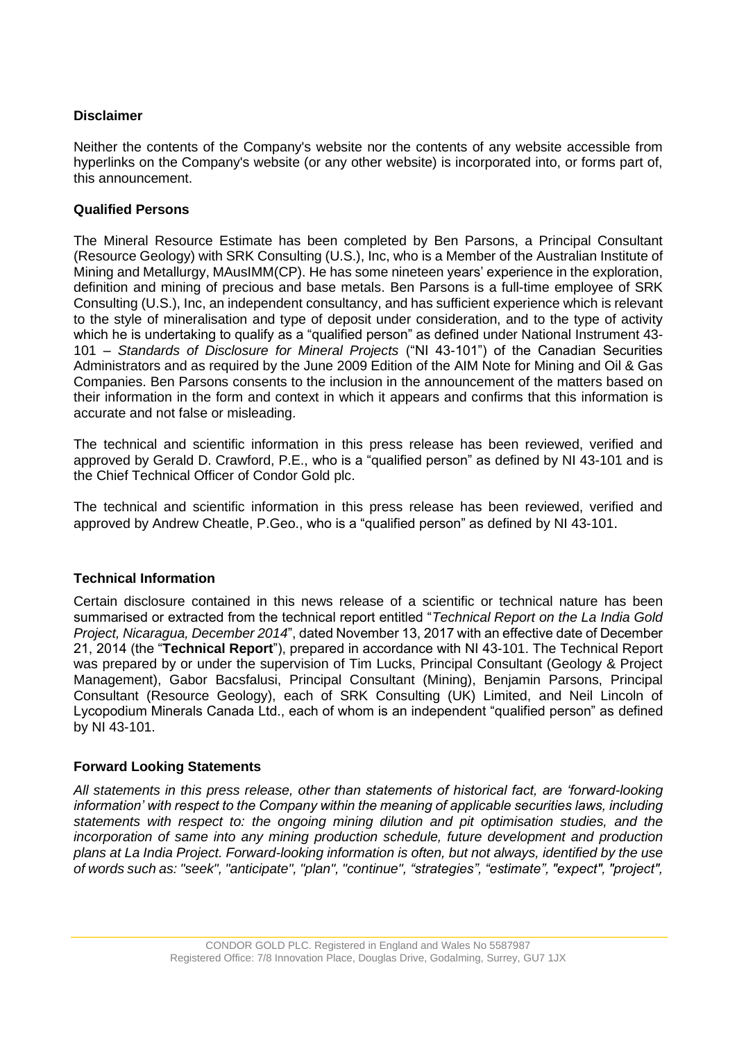# **Disclaimer**

Neither the contents of the Company's website nor the contents of any website accessible from hyperlinks on the Company's website (or any other website) is incorporated into, or forms part of, this announcement.

## **Qualified Persons**

The Mineral Resource Estimate has been completed by Ben Parsons, a Principal Consultant (Resource Geology) with SRK Consulting (U.S.), Inc, who is a Member of the Australian Institute of Mining and Metallurgy, MAusIMM(CP). He has some nineteen years' experience in the exploration, definition and mining of precious and base metals. Ben Parsons is a full-time employee of SRK Consulting (U.S.), Inc, an independent consultancy, and has sufficient experience which is relevant to the style of mineralisation and type of deposit under consideration, and to the type of activity which he is undertaking to qualify as a "qualified person" as defined under National Instrument 43-101 – *Standards of Disclosure for Mineral Projects* ("NI 43-101") of the Canadian Securities Administrators and as required by the June 2009 Edition of the AIM Note for Mining and Oil & Gas Companies. Ben Parsons consents to the inclusion in the announcement of the matters based on their information in the form and context in which it appears and confirms that this information is accurate and not false or misleading.

The technical and scientific information in this press release has been reviewed, verified and approved by Gerald D. Crawford, P.E., who is a "qualified person" as defined by NI 43-101 and is the Chief Technical Officer of Condor Gold plc.

The technical and scientific information in this press release has been reviewed, verified and approved by Andrew Cheatle, P.Geo., who is a "qualified person" as defined by NI 43-101.

#### **Technical Information**

Certain disclosure contained in this news release of a scientific or technical nature has been summarised or extracted from the technical report entitled "*Technical Report on the La India Gold Project, Nicaragua, December 2014*", dated November 13, 2017 with an effective date of December 21, 2014 (the "**Technical Report**"), prepared in accordance with NI 43-101. The Technical Report was prepared by or under the supervision of Tim Lucks, Principal Consultant (Geology & Project Management), Gabor Bacsfalusi, Principal Consultant (Mining), Benjamin Parsons, Principal Consultant (Resource Geology), each of SRK Consulting (UK) Limited, and Neil Lincoln of Lycopodium Minerals Canada Ltd., each of whom is an independent "qualified person" as defined by NI 43-101.

#### **Forward Looking Statements**

*All statements in this press release, other than statements of historical fact, are 'forward-looking information' with respect to the Company within the meaning of applicable securities laws, including statements with respect to: the ongoing mining dilution and pit optimisation studies, and the incorporation of same into any mining production schedule, future development and production plans at La India Project. Forward-looking information is often, but not always, identified by the use of words such as: "seek", "anticipate", "plan", "continue", "strategies", "estimate", "expect", "project",*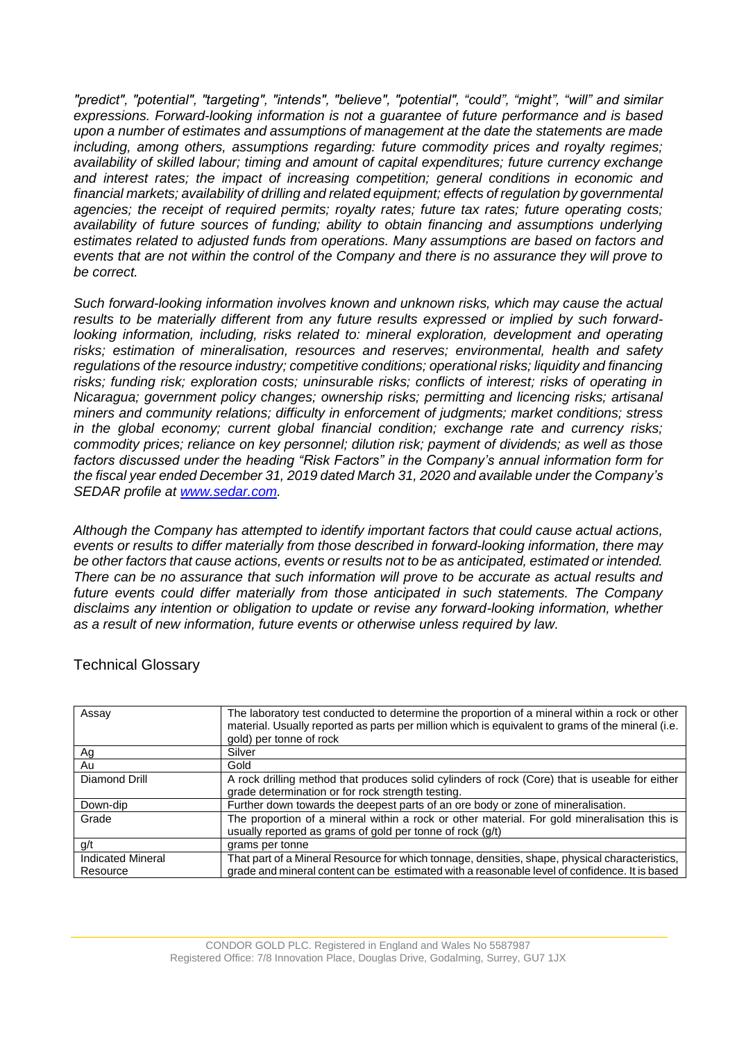*"predict", "potential", "targeting", "intends", "believe", "potential", "could", "might", "will" and similar expressions. Forward-looking information is not a guarantee of future performance and is based upon a number of estimates and assumptions of management at the date the statements are made including, among others, assumptions regarding: future commodity prices and royalty regimes; availability of skilled labour; timing and amount of capital expenditures; future currency exchange and interest rates; the impact of increasing competition; general conditions in economic and financial markets; availability of drilling and related equipment; effects of regulation by governmental agencies; the receipt of required permits; royalty rates; future tax rates; future operating costs; availability of future sources of funding; ability to obtain financing and assumptions underlying estimates related to adjusted funds from operations. Many assumptions are based on factors and events that are not within the control of the Company and there is no assurance they will prove to be correct.* 

*Such forward-looking information involves known and unknown risks, which may cause the actual results to be materially different from any future results expressed or implied by such forwardlooking information, including, risks related to: mineral exploration, development and operating risks; estimation of mineralisation, resources and reserves; environmental, health and safety regulations of the resource industry; competitive conditions; operational risks; liquidity and financing risks; funding risk; exploration costs; uninsurable risks; conflicts of interest; risks of operating in Nicaragua; government policy changes; ownership risks; permitting and licencing risks; artisanal miners and community relations; difficulty in enforcement of judgments; market conditions; stress in the global economy; current global financial condition; exchange rate and currency risks; commodity prices; reliance on key personnel; dilution risk; payment of dividends; as well as those factors discussed under the heading "Risk Factors" in the Company's annual information form for the fiscal year ended December 31, 2019 dated March 31, 2020 and available under the Company's SEDAR profile at [www.sedar.com.](http://www.sedar.com/)*

*Although the Company has attempted to identify important factors that could cause actual actions, events or results to differ materially from those described in forward-looking information, there may be other factors that cause actions, events or results not to be as anticipated, estimated or intended. There can be no assurance that such information will prove to be accurate as actual results and future events could differ materially from those anticipated in such statements. The Company disclaims any intention or obligation to update or revise any forward-looking information, whether as a result of new information, future events or otherwise unless required by law.*

| Assay                                | The laboratory test conducted to determine the proportion of a mineral within a rock or other<br>material. Usually reported as parts per million which is equivalent to grams of the mineral (i.e.<br>gold) per tonne of rock |
|--------------------------------------|-------------------------------------------------------------------------------------------------------------------------------------------------------------------------------------------------------------------------------|
| Ag                                   | Silver                                                                                                                                                                                                                        |
| Au                                   | Gold                                                                                                                                                                                                                          |
| Diamond Drill                        | A rock drilling method that produces solid cylinders of rock (Core) that is useable for either<br>grade determination or for rock strength testing.                                                                           |
| Down-dip                             | Further down towards the deepest parts of an ore body or zone of mineralisation.                                                                                                                                              |
| Grade                                | The proportion of a mineral within a rock or other material. For gold mineralisation this is<br>usually reported as grams of gold per tonne of rock (g/t)                                                                     |
| g/t                                  | grams per tonne                                                                                                                                                                                                               |
| <b>Indicated Mineral</b><br>Resource | That part of a Mineral Resource for which tonnage, densities, shape, physical characteristics,<br>grade and mineral content can be estimated with a reasonable level of confidence. It is based                               |

# Technical Glossary